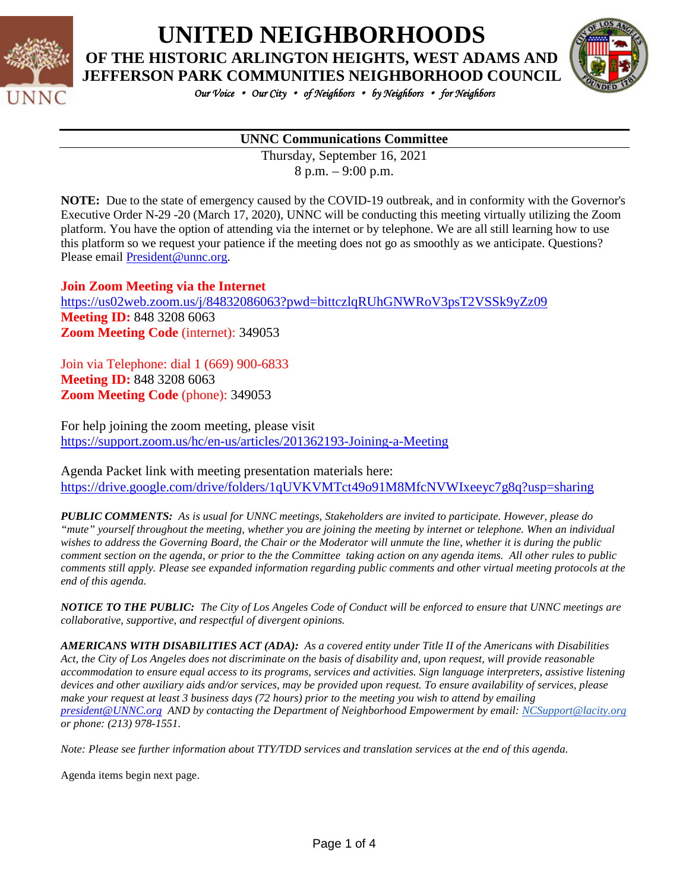

**UNITED NEIGHBORHOODS**

**OF THE HISTORIC ARLINGTON HEIGHTS, WEST ADAMS AND** 



*Our Voice* • *Our City* • *of Neighbors* • *by Neighbors* • *for Neighbors* 

#### **UNNC Communications Committee**

Thursday, September 16, 2021 8 p.m. – 9:00 p.m.

**NOTE:** Due to the state of emergency caused by the COVID-19 outbreak, and in conformity with the Governor's Executive Order N-29 -20 (March 17, 2020), UNNC will be conducting this meeting virtually utilizing the Zoom platform. You have the option of attending via the internet or by telephone. We are all still learning how to use this platform so we request your patience if the meeting does not go as smoothly as we anticipate. Questions? Please email [President@unnc.org.](mailto:President@unnc.org)

**Join Zoom Meeting via the Internet**

<https://us02web.zoom.us/j/84832086063?pwd=bittczlqRUhGNWRoV3psT2VSSk9yZz09> **Meeting ID:** 848 3208 6063 **Zoom Meeting Code** (internet): 349053

Join via Telephone: dial 1 (669) 900-6833 **Meeting ID:** 848 3208 6063 **Zoom Meeting Code** (phone): 349053

For help joining the zoom meeting, please visit <https://support.zoom.us/hc/en-us/articles/201362193-Joining-a-Meeting>

Agenda Packet link with meeting presentation materials here: <https://drive.google.com/drive/folders/1qUVKVMTct49o91M8MfcNVWIxeeyc7g8q?usp=sharing>

*PUBLIC COMMENTS: As is usual for UNNC meetings, Stakeholders are invited to participate. However, please do "mute" yourself throughout the meeting, whether you are joining the meeting by internet or telephone. When an individual*  wishes to address the Governing Board, the Chair or the Moderator will unmute the line, whether it is during the public *comment section on the agenda, or prior to the the Committee taking action on any agenda items. All other rules to public comments still apply. Please see expanded information regarding public comments and other virtual meeting protocols at the end of this agenda.*

*NOTICE TO THE PUBLIC: The City of Los Angeles Code of Conduct will be enforced to ensure that UNNC meetings are collaborative, supportive, and respectful of divergent opinions.* 

*AMERICANS WITH DISABILITIES ACT (ADA): As a covered entity under Title II of the Americans with Disabilities Act, the City of Los Angeles does not discriminate on the basis of disability and, upon request, will provide reasonable accommodation to ensure equal access to its programs, services and activities. Sign language interpreters, assistive listening devices and other auxiliary aids and/or services, may be provided upon request. To ensure availability of services, please make your request at least 3 business days (72 hours) prior to the meeting you wish to attend by emailing [president@UNNC.org](mailto:president@UNNC.org) AND by contacting the Department of Neighborhood Empowerment by email: [NCSupport@lacity.org](mailto:NCSupport@lacity.org) or phone: (213) 978-1551.*

*Note: Please see further information about TTY/TDD services and translation services at the end of this agenda.*

Agenda items begin next page.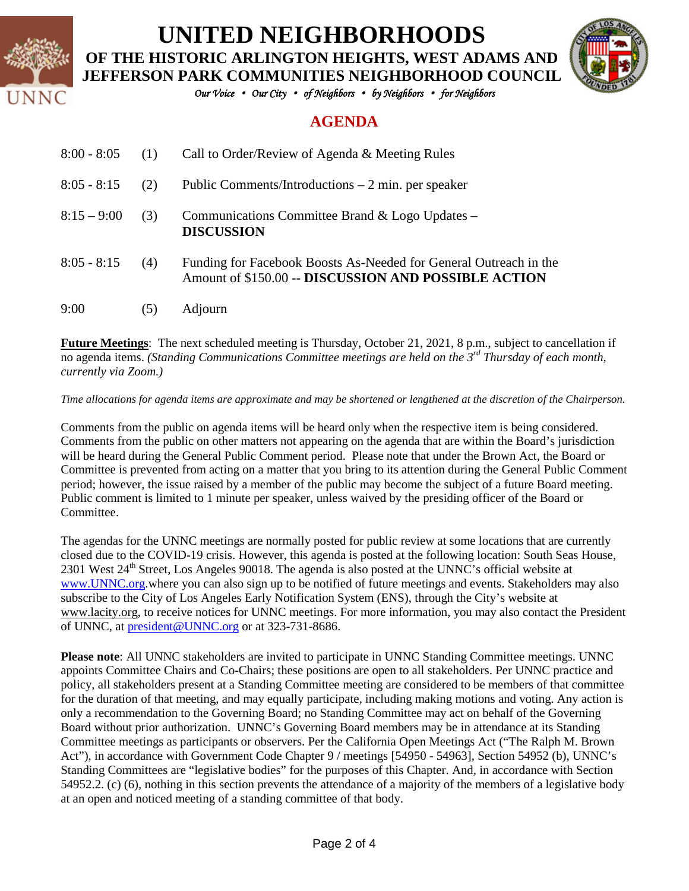

# **UNITED NEIGHBORHOODS**

**OF THE HISTORIC ARLINGTON HEIGHTS, WEST ADAMS AND JEFFERSON PARK COMMUNITIES NEIGHBORHOOD COUNCIL**



*Our Voice* • *Our City* • *of Neighbors* • *by Neighbors* • *for Neighbors* 

### **AGENDA**

| $8:00 - 8:05$ | (1) | Call to Order/Review of Agenda & Meeting Rules                                                                            |
|---------------|-----|---------------------------------------------------------------------------------------------------------------------------|
| $8:05 - 8:15$ | (2) | Public Comments/Introductions $-2$ min. per speaker                                                                       |
| $8:15 - 9:00$ | (3) | Communications Committee Brand & Logo Updates –<br><b>DISCUSSION</b>                                                      |
| $8:05 - 8:15$ | (4) | Funding for Facebook Boosts As-Needed for General Outreach in the<br>Amount of \$150.00 -- DISCUSSION AND POSSIBLE ACTION |
| 9:00          | (5) | Adjourn                                                                                                                   |

**Future Meetings**: The next scheduled meeting is Thursday, October 21, 2021, 8 p.m., subject to cancellation if no agenda items. *(Standing Communications Committee meetings are held on the 3rd Thursday of each month, currently via Zoom.)*

*Time allocations for agenda items are approximate and may be shortened or lengthened at the discretion of the Chairperson.*

Comments from the public on agenda items will be heard only when the respective item is being considered. Comments from the public on other matters not appearing on the agenda that are within the Board's jurisdiction will be heard during the General Public Comment period. Please note that under the Brown Act, the Board or Committee is prevented from acting on a matter that you bring to its attention during the General Public Comment period; however, the issue raised by a member of the public may become the subject of a future Board meeting. Public comment is limited to 1 minute per speaker, unless waived by the presiding officer of the Board or **Committee** 

The agendas for the UNNC meetings are normally posted for public review at some locations that are currently closed due to the COVID-19 crisis. However, this agenda is posted at the following location: South Seas House, 2301 West 24<sup>th</sup> Street, Los Angeles 90018. The agenda is also posted at the UNNC's official website at [www.UNNC.org.](http://www.unnc.org/)where you can also sign up to be notified of future meetings and events. Stakeholders may also subscribe to the City of Los Angeles Early Notification System (ENS), through the City's website at www.lacity.org, to receive notices for UNNC meetings. For more information, you may also contact the President of UNNC, at [president@UNNC.org](mailto:president@UNNC.org) or at 323-731-8686.

**Please note**: All UNNC stakeholders are invited to participate in UNNC Standing Committee meetings. UNNC appoints Committee Chairs and Co-Chairs; these positions are open to all stakeholders. Per UNNC practice and policy, all stakeholders present at a Standing Committee meeting are considered to be members of that committee for the duration of that meeting, and may equally participate, including making motions and voting. Any action is only a recommendation to the Governing Board; no Standing Committee may act on behalf of the Governing Board without prior authorization. UNNC's Governing Board members may be in attendance at its Standing Committee meetings as participants or observers. Per the California Open Meetings Act ("The Ralph M. Brown Act"), in accordance with Government Code Chapter 9 / meetings [54950 - 54963], Section 54952 (b), UNNC's Standing Committees are "legislative bodies" for the purposes of this Chapter. And, in accordance with Section 54952.2. (c) (6), nothing in this section prevents the attendance of a majority of the members of a legislative body at an open and noticed meeting of a standing committee of that body.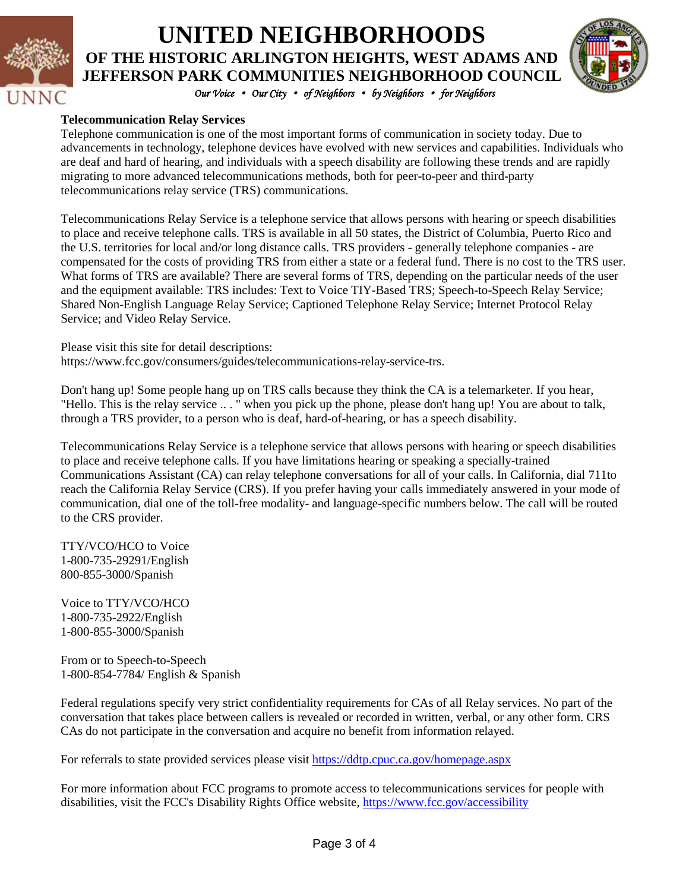

### **UNITED NEIGHBORHOODS OF THE HISTORIC ARLINGTON HEIGHTS, WEST ADAMS AND JEFFERSON PARK COMMUNITIES NEIGHBORHOOD COUNCIL**



*Our Voice* • *Our City* • *of Neighbors* • *by Neighbors* • *for Neighbors* 

#### **Telecommunication Relay Services**

Telephone communication is one of the most important forms of communication in society today. Due to advancements in technology, telephone devices have evolved with new services and capabilities. Individuals who are deaf and hard of hearing, and individuals with a speech disability are following these trends and are rapidly migrating to more advanced telecommunications methods, both for peer-to-peer and third-party telecommunications relay service (TRS) communications.

Telecommunications Relay Service is a telephone service that allows persons with hearing or speech disabilities to place and receive telephone calls. TRS is available in all 50 states, the District of Columbia, Puerto Rico and the U.S. territories for local and/or long distance calls. TRS providers - generally telephone companies - are compensated for the costs of providing TRS from either a state or a federal fund. There is no cost to the TRS user. What forms of TRS are available? There are several forms of TRS, depending on the particular needs of the user and the equipment available: TRS includes: Text to Voice TIY-Based TRS; Speech-to-Speech Relay Service; Shared Non-English Language Relay Service; Captioned Telephone Relay Service; Internet Protocol Relay Service; and Video Relay Service.

Please visit this site for detail descriptions: https://www.fcc.gov/consumers/guides/telecommunications-relay-service-trs.

Don't hang up! Some people hang up on TRS calls because they think the CA is a telemarketer. If you hear, "Hello. This is the relay service .. . " when you pick up the phone, please don't hang up! You are about to talk, through a TRS provider, to a person who is deaf, hard-of-hearing, or has a speech disability.

Telecommunications Relay Service is a telephone service that allows persons with hearing or speech disabilities to place and receive telephone calls. If you have limitations hearing or speaking a specially-trained Communications Assistant (CA) can relay telephone conversations for all of your calls. In California, dial 711to reach the California Relay Service (CRS). If you prefer having your calls immediately answered in your mode of communication, dial one of the toll-free modality- and language-specific numbers below. The call will be routed to the CRS provider.

TTY/VCO/HCO to Voice 1-800-735-29291/English 800-855-3000/Spanish

Voice to TTY/VCO/HCO 1-800-735-2922/English 1-800-855-3000/Spanish

From or to Speech-to-Speech 1-800-854-7784/ English & Spanish

Federal regulations specify very strict confidentiality requirements for CAs of all Relay services. No part of the conversation that takes place between callers is revealed or recorded in written, verbal, or any other form. CRS CAs do not participate in the conversation and acquire no benefit from information relayed.

For referrals to state provided services please visit<https://ddtp.cpuc.ca.gov/homepage.aspx>

For more information about FCC programs to promote access to telecommunications services for people with disabilities, visit the FCC's Disability Rights Office website,<https://www.fcc.gov/accessibility>